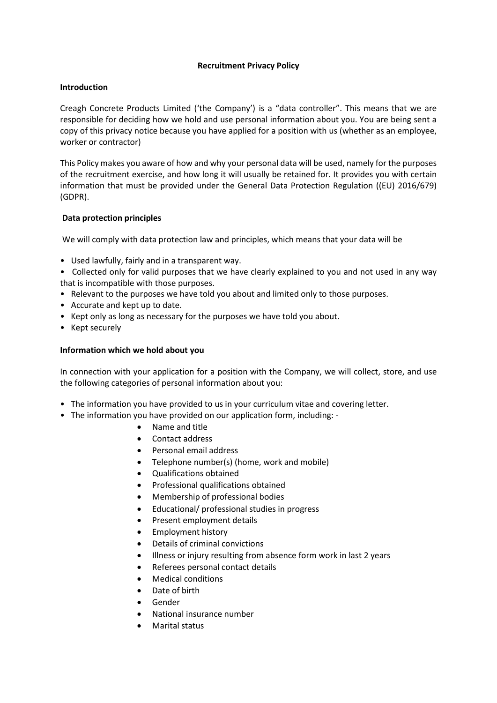## **Recruitment Privacy Policy**

# **Introduction**

Creagh Concrete Products Limited ('the Company') is a "data controller". This means that we are responsible for deciding how we hold and use personal information about you. You are being sent a copy of this privacy notice because you have applied for a position with us (whether as an employee, worker or contractor)

This Policy makes you aware of how and why your personal data will be used, namely for the purposes of the recruitment exercise, and how long it will usually be retained for. It provides you with certain information that must be provided under the General Data Protection Regulation ((EU) 2016/679) (GDPR).

# **Data protection principles**

We will comply with data protection law and principles, which means that your data will be

• Used lawfully, fairly and in a transparent way.

• Collected only for valid purposes that we have clearly explained to you and not used in any way that is incompatible with those purposes.

- Relevant to the purposes we have told you about and limited only to those purposes.
- Accurate and kept up to date.
- Kept only as long as necessary for the purposes we have told you about.
- Kept securely

# **Information which we hold about you**

In connection with your application for a position with the Company, we will collect, store, and use the following categories of personal information about you:

- The information you have provided to us in your curriculum vitae and covering letter.
- The information you have provided on our application form, including:
	- Name and title
	- Contact address
	- Personal email address
	- Telephone number(s) (home, work and mobile)
	- Qualifications obtained
	- Professional qualifications obtained
	- Membership of professional bodies
	- Educational/ professional studies in progress
	- Present employment details
	- Employment history
	- Details of criminal convictions
	- Illness or injury resulting from absence form work in last 2 years
	- Referees personal contact details
	- Medical conditions
	- Date of birth
	- Gender
	- National insurance number
	- Marital status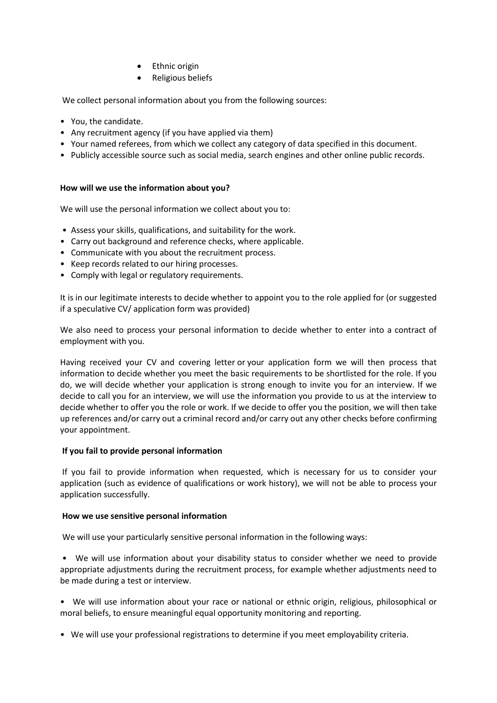- **Ethnic origin**
- Religious beliefs

We collect personal information about you from the following sources:

- You, the candidate.
- Any recruitment agency (if you have applied via them)
- Your named referees, from which we collect any category of data specified in this document.
- Publicly accessible source such as social media, search engines and other online public records.

# **How will we use the information about you?**

We will use the personal information we collect about you to:

- Assess your skills, qualifications, and suitability for the work.
- Carry out background and reference checks, where applicable.
- Communicate with you about the recruitment process.
- Keep records related to our hiring processes.
- Comply with legal or regulatory requirements.

It is in our legitimate interests to decide whether to appoint you to the role applied for (or suggested if a speculative CV/ application form was provided)

We also need to process your personal information to decide whether to enter into a contract of employment with you.

Having received your CV and covering letter or your application form we will then process that information to decide whether you meet the basic requirements to be shortlisted for the role. If you do, we will decide whether your application is strong enough to invite you for an interview. If we decide to call you for an interview, we will use the information you provide to us at the interview to decide whether to offer you the role or work. If we decide to offer you the position, we will then take up references and/or carry out a criminal record and/or carry out any other checks before confirming your appointment.

## **If you fail to provide personal information**

If you fail to provide information when requested, which is necessary for us to consider your application (such as evidence of qualifications or work history), we will not be able to process your application successfully.

## **How we use sensitive personal information**

We will use your particularly sensitive personal information in the following ways:

• We will use information about your disability status to consider whether we need to provide appropriate adjustments during the recruitment process, for example whether adjustments need to be made during a test or interview.

- We will use information about your race or national or ethnic origin, religious, philosophical or moral beliefs, to ensure meaningful equal opportunity monitoring and reporting.
- We will use your professional registrations to determine if you meet employability criteria.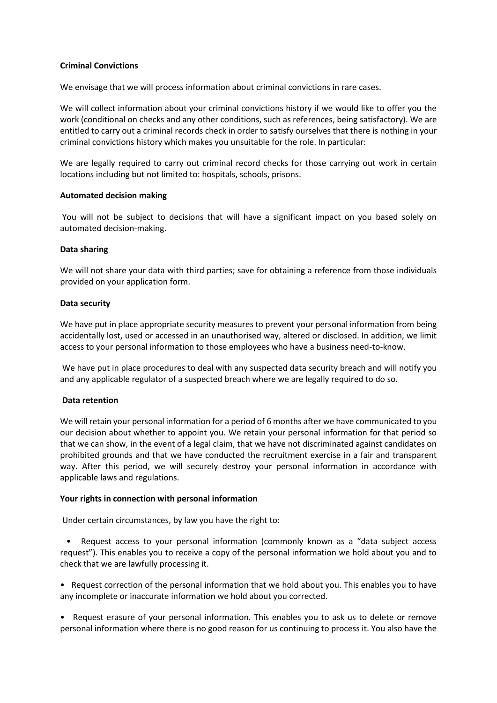### **Criminal Convictions**

We envisage that we will process information about criminal convictions in rare cases.

We will collect information about your criminal convictions history if we would like to offer you the work (conditional on checks and any other conditions, such as references, being satisfactory). We are entitled to carry out a criminal records check in order to satisfy ourselves that there is nothing in your criminal convictions history which makes you unsuitable for the role. In particular:

We are legally required to carry out criminal record checks for those carrying out work in certain locations including but not limited to: hospitals, schools, prisons.

### **Automated decision making**

You will not be subject to decisions that will have a significant impact on you based solely on automated decision-making.

### **Data sharing**

We will not share your data with third parties; save for obtaining a reference from those individuals provided on your application form.

### **Data security**

We have put in place appropriate security measures to prevent your personal information from being accidentally lost, used or accessed in an unauthorised way, altered or disclosed. In addition, we limit access to your personal information to those employees who have a business need-to-know.

We have put in place procedures to deal with any suspected data security breach and will notify you and any applicable regulator of a suspected breach where we are legally required to do so.

## **Data retention**

We will retain your personal information for a period of 6 months after we have communicated to you our decision about whether to appoint you. We retain your personal information for that period so that we can show, in the event of a legal claim, that we have not discriminated against candidates on prohibited grounds and that we have conducted the recruitment exercise in a fair and transparent way. After this period, we will securely destroy your personal information in accordance with applicable laws and regulations.

#### **Your rights in connection with personal information**

Under certain circumstances, by law you have the right to:

• Request access to your personal information (commonly known as a "data subject access request"). This enables you to receive a copy of the personal information we hold about you and to check that we are lawfully processing it.

• Request correction of the personal information that we hold about you. This enables you to have any incomplete or inaccurate information we hold about you corrected.

• Request erasure of your personal information. This enables you to ask us to delete or remove personal information where there is no good reason for us continuing to process it. You also have the